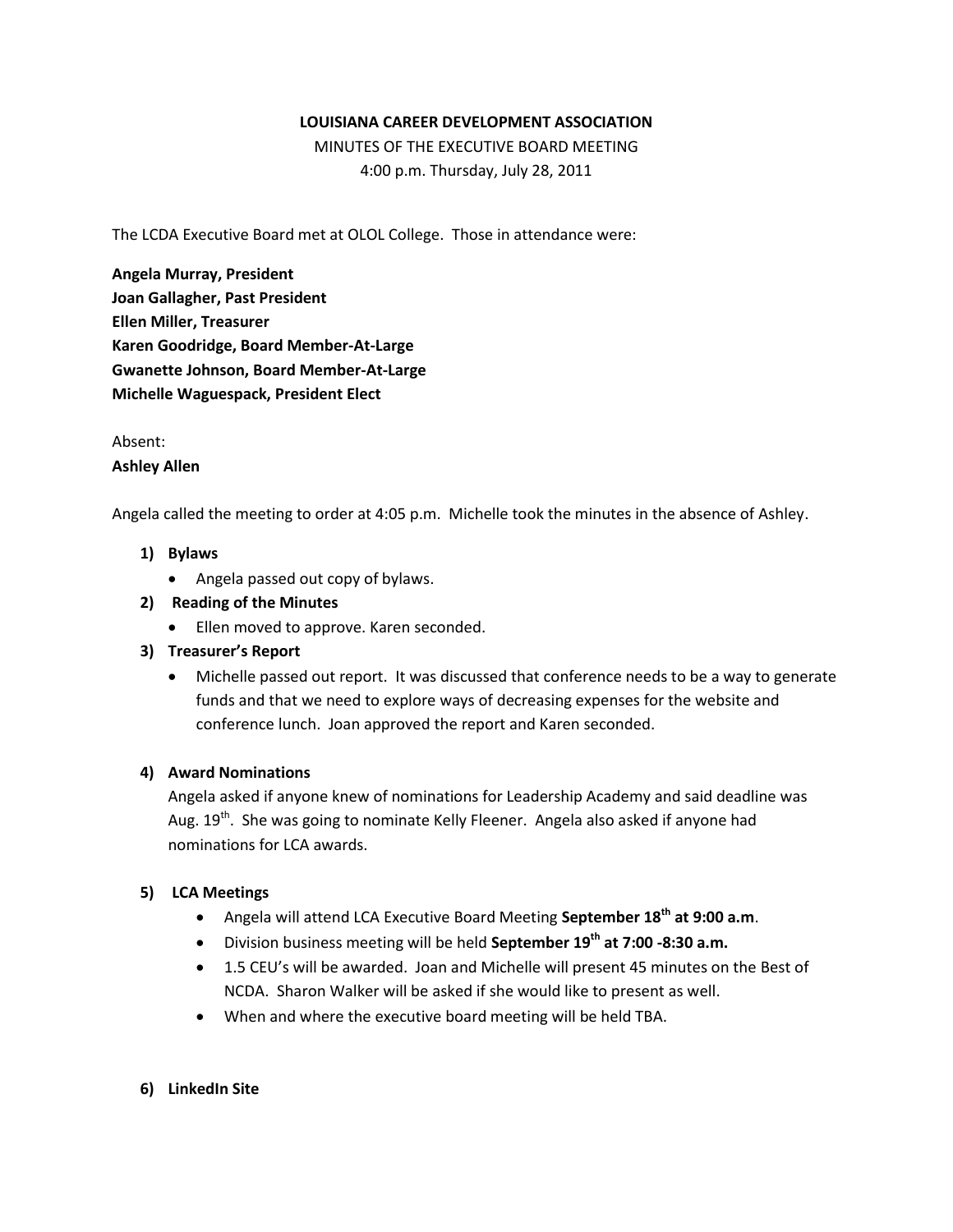### **LOUISIANA CAREER DEVELOPMENT ASSOCIATION**

MINUTES OF THE EXECUTIVE BOARD MEETING

4:00 p.m. Thursday, July 28, 2011

The LCDA Executive Board met at OLOL College. Those in attendance were:

**Angela Murray, President Joan Gallagher, Past President Ellen Miller, Treasurer Karen Goodridge, Board Member-At-Large Gwanette Johnson, Board Member-At-Large Michelle Waguespack, President Elect**

Absent: **Ashley Allen**

Angela called the meeting to order at 4:05 p.m. Michelle took the minutes in the absence of Ashley.

- **1) Bylaws**
	- Angela passed out copy of bylaws.
- **2) Reading of the Minutes**
	- Ellen moved to approve. Karen seconded.
- **3) Treasurer's Report**
	- Michelle passed out report. It was discussed that conference needs to be a way to generate funds and that we need to explore ways of decreasing expenses for the website and conference lunch. Joan approved the report and Karen seconded.

#### **4) Award Nominations**

Angela asked if anyone knew of nominations for Leadership Academy and said deadline was Aug. 19<sup>th</sup>. She was going to nominate Kelly Fleener. Angela also asked if anyone had nominations for LCA awards.

# **5) LCA Meetings**

- Angela will attend LCA Executive Board Meeting **September 18th at 9:00 a.m**.
- Division business meeting will be held **September 19th at 7:00 -8:30 a.m.**
- 1.5 CEU's will be awarded. Joan and Michelle will present 45 minutes on the Best of NCDA. Sharon Walker will be asked if she would like to present as well.
- When and where the executive board meeting will be held TBA.
- **6) LinkedIn Site**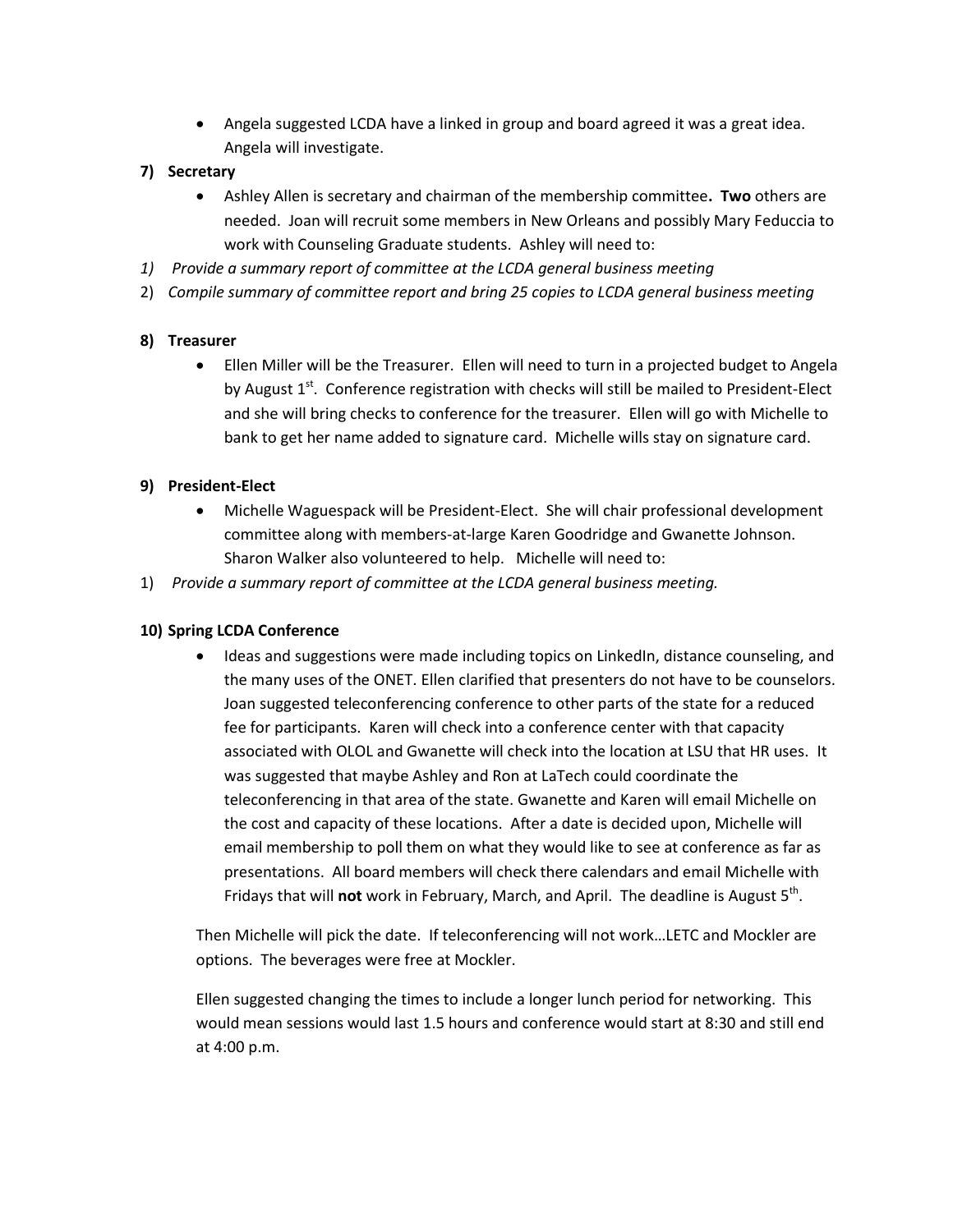Angela suggested LCDA have a linked in group and board agreed it was a great idea. Angela will investigate.

# **7) Secretary**

- Ashley Allen is secretary and chairman of the membership committee**. Two** others are needed. Joan will recruit some members in New Orleans and possibly Mary Feduccia to work with Counseling Graduate students. Ashley will need to:
- *1) Provide a summary report of committee at the LCDA general business meeting*
- 2) *Compile summary of committee report and bring 25 copies to LCDA general business meeting*

# **8) Treasurer**

 Ellen Miller will be the Treasurer. Ellen will need to turn in a projected budget to Angela by August  $1<sup>st</sup>$ . Conference registration with checks will still be mailed to President-Elect and she will bring checks to conference for the treasurer. Ellen will go with Michelle to bank to get her name added to signature card. Michelle wills stay on signature card.

# **9) President-Elect**

- Michelle Waguespack will be President-Elect. She will chair professional development committee along with members-at-large Karen Goodridge and Gwanette Johnson. Sharon Walker also volunteered to help. Michelle will need to:
- 1) *Provide a summary report of committee at the LCDA general business meeting.*

# **10) Spring LCDA Conference**

 Ideas and suggestions were made including topics on LinkedIn, distance counseling, and the many uses of the ONET. Ellen clarified that presenters do not have to be counselors. Joan suggested teleconferencing conference to other parts of the state for a reduced fee for participants. Karen will check into a conference center with that capacity associated with OLOL and Gwanette will check into the location at LSU that HR uses. It was suggested that maybe Ashley and Ron at LaTech could coordinate the teleconferencing in that area of the state. Gwanette and Karen will email Michelle on the cost and capacity of these locations. After a date is decided upon, Michelle will email membership to poll them on what they would like to see at conference as far as presentations. All board members will check there calendars and email Michelle with Fridays that will not work in February, March, and April. The deadline is August 5<sup>th</sup>.

Then Michelle will pick the date. If teleconferencing will not work…LETC and Mockler are options. The beverages were free at Mockler.

Ellen suggested changing the times to include a longer lunch period for networking. This would mean sessions would last 1.5 hours and conference would start at 8:30 and still end at 4:00 p.m.